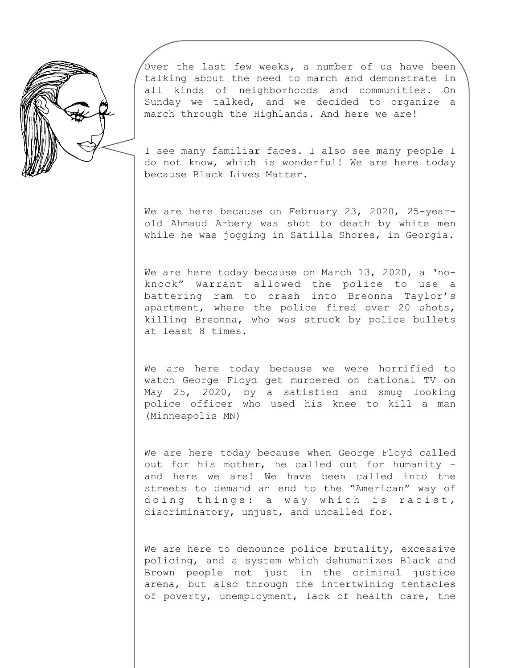

Over the last few weeks, a number of us have been talking about the need to march and demonstrate in all kinds of neighborhoods and communities. On Sunday we talked, and we decided to organize a march through the Highlands. And here we are!

I see many familiar faces. I also see many people I do not know, which is wonderful! We are here today because Black Lives Matter.

We are here because on February 23, 2020, 25-yearold Ahmaud Arbery was shot to death by white men while he was jogging in Satilla Shores, in Georgia.

We are here today because on March 13, 2020, a 'noknock" warrant allowed the police to use a battering ram to crash into Breonna Taylor's apartment, where the police fired over 20 shots, killing Breonna, who was struck by police bullets at least 8 times.

We are here today because we were horrified to watch George Floyd get murdered on national TV on May 25, 2020, by a satisfied and smug looking police officer who used his knee to kill a man (Minneapolis MN)

We are here today because when George Floyd called out for his mother, he called out for humanity – and here we are! We have been called into the streets to demand an end to the "American" way of doing things: a way which is racist, discriminatory, unjust, and uncalled for.

We are here to denounce police brutality, excessive policing, and a system which dehumanizes Black and Brown people not just in the criminal justice arena, but also through the intertwining tentacles of poverty, unemployment, lack of health care, the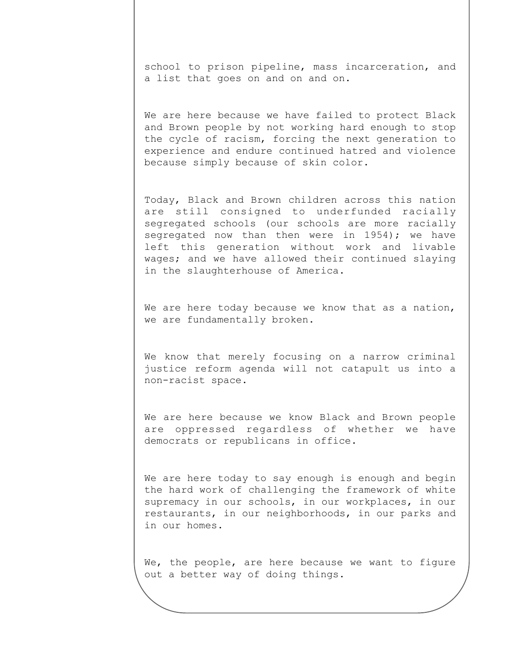school to prison pipeline, mass incarceration, and a list that goes on and on and on.

We are here because we have failed to protect Black and Brown people by not working hard enough to stop the cycle of racism, forcing the next generation to experience and endure continued hatred and violence because simply because of skin color.

Today, Black and Brown children across this nation are still consigned to underfunded racially segregated schools (our schools are more racially segregated now than then were in 1954); we have left this generation without work and livable wages; and we have allowed their continued slaying in the slaughterhouse of America.

We are here today because we know that as a nation, we are fundamentally broken.

We know that merely focusing on a narrow criminal justice reform agenda will not catapult us into a non-racist space.

We are here because we know Black and Brown people are oppressed regardless of whether we have democrats or republicans in office.

We are here today to say enough is enough and begin the hard work of challenging the framework of white supremacy in our schools, in our workplaces, in our restaurants, in our neighborhoods, in our parks and in our homes.

We, the people, are here because we want to figure out a better way of doing things.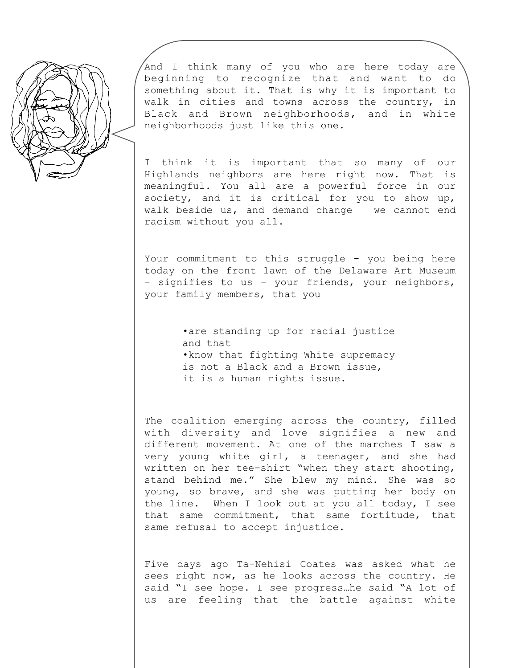

And I think many of you who are here today are beginning to recognize that and want to do something about it. That is why it is important to walk in cities and towns across the country, in Black and Brown neighborhoods, and in white neighborhoods just like this one.

I think it is important that so many of our Highlands neighbors are here right now. That is meaningful. You all are a powerful force in our society, and it is critical for you to show up, walk beside us, and demand change – we cannot end racism without you all.

Your commitment to this struggle - you being here today on the front lawn of the Delaware Art Museum - signifies to us - your friends, your neighbors, your family members, that you

> •are standing up for racial justice and that •know that fighting White supremacy is not a Black and a Brown issue, it is a human rights issue.

The coalition emerging across the country, filled with diversity and love signifies a new and different movement. At one of the marches I saw a very young white girl, a teenager, and she had written on her tee-shirt "when they start shooting, stand behind me." She blew my mind. She was so young, so brave, and she was putting her body on the line. When I look out at you all today, I see that same commitment, that same fortitude, that same refusal to accept injustice.

Five days ago Ta-Nehisi Coates was asked what he sees right now, as he looks across the country. He said "I see hope. I see progress…he said "A lot of us are feeling that the battle against white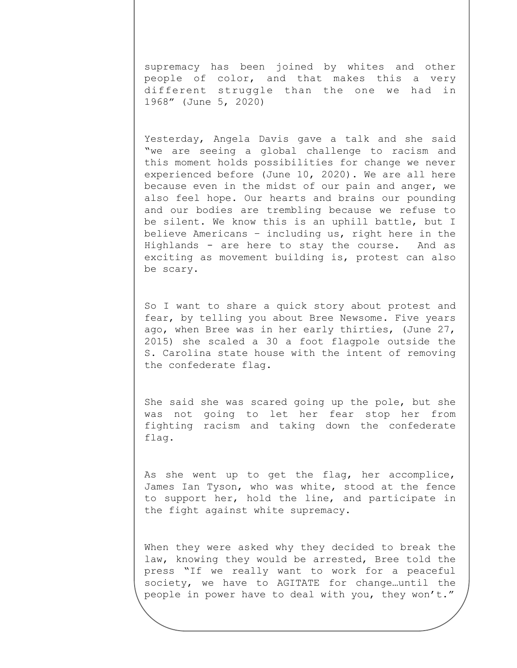supremacy has been joined by whites and other people of color, and that makes this a very different struggle than the one we had in 1968" (June 5, 2020)

Yesterday, Angela Davis gave a talk and she said "we are seeing a global challenge to racism and this moment holds possibilities for change we never experienced before (June 10, 2020). We are all here because even in the midst of our pain and anger, we also feel hope. Our hearts and brains our pounding and our bodies are trembling because we refuse to be silent. We know this is an uphill battle, but I believe Americans – including us, right here in the Highlands - are here to stay the course. And as exciting as movement building is, protest can also be scary.

So I want to share a quick story about protest and fear, by telling you about Bree Newsome. Five years ago, when Bree was in her early thirties, (June 27, 2015) she scaled a 30 a foot flagpole outside the S. Carolina state house with the intent of removing the confederate flag.

She said she was scared going up the pole, but she was not going to let her fear stop her from fighting racism and taking down the confederate flag.

As she went up to get the flag, her accomplice, James Ian Tyson, who was white, stood at the fence to support her, hold the line, and participate in the fight against white supremacy.

When they were asked why they decided to break the law, knowing they would be arrested, Bree told the press "If we really want to work for a peaceful society, we have to AGITATE for change…until the people in power have to deal with you, they won't."